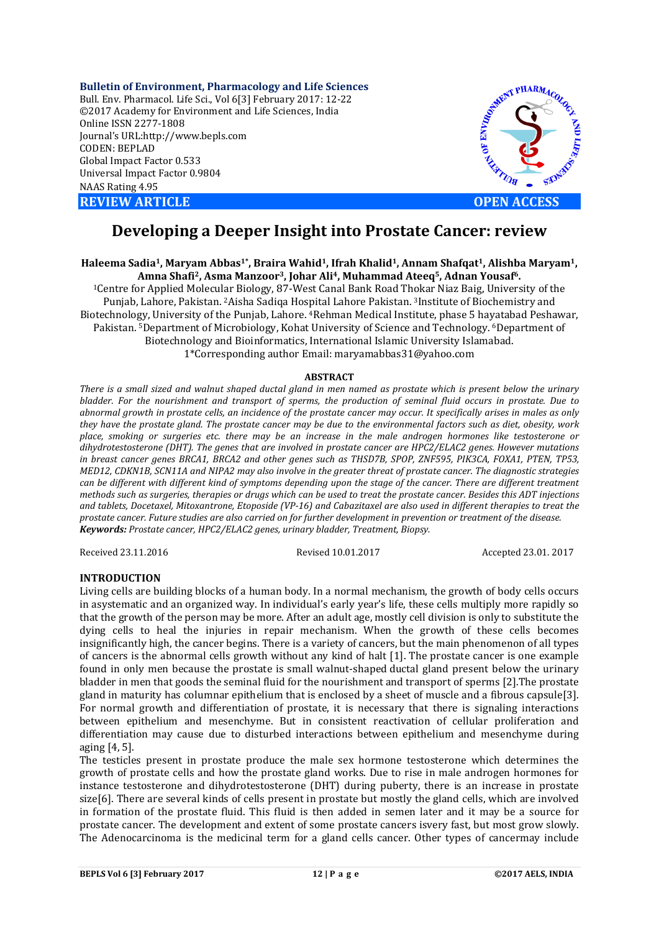**Bulletin of Environment, Pharmacology and Life Sciences** Bull. Env. Pharmacol. Life Sci., Vol 6[3] February 2017: 12-22 ©2017 Academy for Environment and Life Sciences, India Online ISSN 2277-1808 Journal's URL:http://www.bepls.com CODEN: BEPLAD Global Impact Factor 0.533 Universal Impact Factor 0.9804 NAAS Rating 4.95 **REVIEW ARTICLE CONSUMING A REVIEW ARTICLE** 



# **Developing a Deeper Insight into Prostate Cancer: review**

### **Haleema Sadia1, Maryam Abbas1\*, Braira Wahid1, Ifrah Khalid1, Annam Shafqat1, Alishba Maryam1, Amna Shafi2, Asma Manzoor3, Johar Ali4, Muhammad Ateeq5, Adnan Yousaf6.**

1Centre for Applied Molecular Biology, 87-West Canal Bank Road Thokar Niaz Baig, University of the Punjab, Lahore, Pakistan. 2Aisha Sadiqa Hospital Lahore Pakistan. 3Institute of Biochemistry and Biotechnology, University of the Punjab, Lahore. 4Rehman Medical Institute, phase 5 hayatabad Peshawar, Pakistan. <sup>5</sup>Department of Microbiology, Kohat University of Science and Technology. <sup>6</sup>Department of Biotechnology and Bioinformatics, International Islamic University Islamabad. 1\*Corresponding author Email: maryamabbas31@yahoo.com

#### **ABSTRACT**

*There is a small sized and walnut shaped ductal gland in men named as prostate which is present below the urinary bladder. For the nourishment and transport of sperms, the production of seminal fluid occurs in prostate. Due to abnormal growth in prostate cells, an incidence of the prostate cancer may occur. It specifically arises in males as only they have the prostate gland. The prostate cancer may be due to the environmental factors such as diet, obesity, work place, smoking or surgeries etc. there may be an increase in the male androgen hormones like testosterone or dihydrotestosterone (DHT). The genes that are involved in prostate cancer are HPC2/ELAC2 genes. However mutations in breast cancer genes BRCA1, BRCA2 and other genes such as THSD7B, SPOP, ZNF595, PIK3CA, FOXA1, PTEN, TP53, MED12, CDKN1B, SCN11A and NIPA2 may also involve in the greater threat of prostate cancer. The diagnostic strategies can be different with different kind of symptoms depending upon the stage of the cancer. There are different treatment methods such as surgeries, therapies or drugs which can be used to treat the prostate cancer. Besides this ADT injections and tablets, Docetaxel, Mitoxantrone, Etoposide (VP-16) and Cabazitaxel are also used in different therapies to treat the prostate cancer. Future studies are also carried on for further development in prevention or treatment of the disease. Keywords: Prostate cancer, HPC2/ELAC2 genes, urinary bladder, Treatment, Biopsy.*

Received 23.11.2016 Revised 10.01.2017 Accepted 23.01. 2017

#### **INTRODUCTION**

Living cells are building blocks of a human body. In a normal mechanism, the growth of body cells occurs in asystematic and an organized way. In individual's early year's life, these cells multiply more rapidly so that the growth of the person may be more. After an adult age, mostly cell division is only to substitute the dying cells to heal the injuries in repair mechanism. When the growth of these cells becomes insignificantly high, the cancer begins. There is a variety of cancers, but the main phenomenon of all types of cancers is the abnormal cells growth without any kind of halt [1]. The prostate cancer is one example found in only men because the prostate is small walnut-shaped ductal gland present below the urinary bladder in men that goods the seminal fluid for the nourishment and transport of sperms [2].The prostate gland in maturity has columnar epithelium that is enclosed by a sheet of muscle and a fibrous capsule[3]. For normal growth and differentiation of prostate, it is necessary that there is signaling interactions between epithelium and mesenchyme. But in consistent reactivation of cellular proliferation and differentiation may cause due to disturbed interactions between epithelium and mesenchyme during aging [4, 5].

The testicles present in prostate produce the male sex hormone testosterone which determines the growth of prostate cells and how the prostate gland works. Due to rise in male androgen hormones for instance testosterone and dihydrotestosterone (DHT) during puberty, there is an increase in prostate size[6]. There are several kinds of cells present in prostate but mostly the gland cells, which are involved in formation of the prostate fluid. This fluid is then added in semen later and it may be a source for prostate cancer. The development and extent of some prostate cancers isvery fast, but most grow slowly. The Adenocarcinoma is the medicinal term for a gland cells cancer. Other types of cancermay include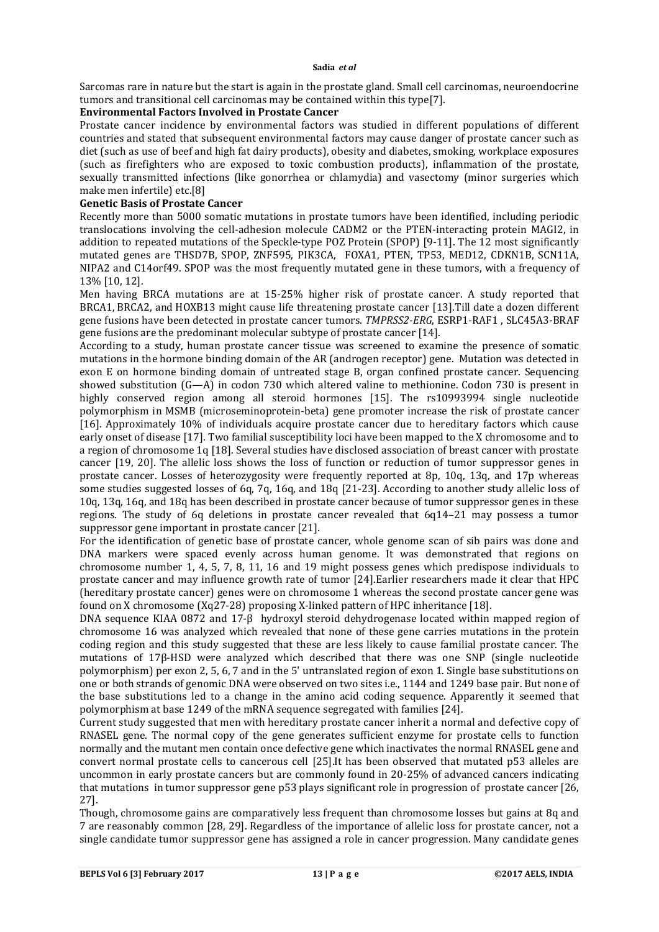Sarcomas rare in nature but the start is again in the prostate gland. Small cell carcinomas, neuroendocrine tumors and transitional cell carcinomas may be contained within this type[7].

### **Environmental Factors Involved in Prostate Cancer**

Prostate cancer incidence by environmental factors was studied in different populations of different countries and stated that subsequent environmental factors may cause danger of prostate cancer such as diet (such as use of beef and high fat dairy products), obesity and diabetes, smoking, workplace exposures (such as firefighters who are exposed to toxic combustion products), inflammation of the prostate, sexually transmitted infections (like gonorrhea or chlamydia) and vasectomy (minor surgeries which make men infertile) etc.[8]

### **Genetic Basis of Prostate Cancer**

Recently more than 5000 somatic mutations in prostate tumors have been identified, including periodic translocations involving the cell-adhesion molecule CADM2 or the PTEN-interacting protein MAGI2, in addition to repeated mutations of the Speckle-type POZ Protein (SPOP) [9-11]. The 12 most significantly mutated genes are THSD7B, SPOP, ZNF595, PIK3CA, FOXA1, PTEN, TP53, MED12, CDKN1B, SCN11A, NIPA2 and C14orf49. SPOP was the most frequently mutated gene in these tumors, with a frequency of 13% [10, 12].

Men having BRCA mutations are at 15-25% higher risk of prostate cancer. A study reported that BRCA1, BRCA2, and HOXB13 might cause life threatening prostate cancer [13].Till date a dozen different gene fusions have been detected in prostate cancer tumors. *TMPRSS2-ERG*, ESRP1-RAF1 , SLC45A3-BRAF gene fusions are the predominant molecular subtype of prostate cancer [14].

According to a study, human prostate cancer tissue was screened to examine the presence of somatic mutations in the hormone binding domain of the AR (androgen receptor) gene. Mutation was detected in exon E on hormone binding domain of untreated stage B, organ confined prostate cancer. Sequencing showed substitution (G—A) in codon 730 which altered valine to methionine. Codon 730 is present in highly conserved region among all steroid hormones [15]. The rs10993994 single nucleotide polymorphism in MSMB (microseminoprotein-beta) gene promoter increase the risk of prostate cancer [16]. Approximately 10% of individuals acquire prostate cancer due to hereditary factors which cause early onset of disease [17]. Two familial susceptibility loci have been mapped to the X chromosome and to a region of chromosome 1q [18]. Several studies have disclosed association of breast cancer with prostate cancer [19, 20]. The allelic loss shows the loss of function or reduction of tumor suppressor genes in prostate cancer. Losses of heterozygosity were frequently reported at 8p, 10q, 13q, and 17p whereas some studies suggested losses of 6q, 7q, 16q, and 18q [21-23]. According to another study allelic loss of 10q, 13q, 16q, and 18q has been described in prostate cancer because of tumor suppressor genes in these regions. The study of 6q deletions in prostate cancer revealed that 6q14–21 may possess a tumor suppressor gene important in prostate cancer [21].

For the identification of genetic base of prostate cancer, whole genome scan of sib pairs was done and DNA markers were spaced evenly across human genome. It was demonstrated that regions on chromosome number 1, 4, 5, 7, 8, 11, 16 and 19 might possess genes which predispose individuals to prostate cancer and may influence growth rate of tumor [24].Earlier researchers made it clear that HPC (hereditary prostate cancer) genes were on chromosome 1 whereas the second prostate cancer gene was found on X chromosome (Xq27-28) proposing X-linked pattern of HPC inheritance [18].

DNA sequence KIAA 0872 and 17-β hydroxyl steroid dehydrogenase located within mapped region of chromosome 16 was analyzed which revealed that none of these gene carries mutations in the protein coding region and this study suggested that these are less likely to cause familial prostate cancer. The mutations of 17β-HSD were analyzed which described that there was one SNP (single nucleotide polymorphism) per exon 2, 5, 6, 7 and in the 5' untranslated region of exon 1. Single base substitutions on one or both strands of genomic DNA were observed on two sites i.e., 1144 and 1249 base pair. But none of the base substitutions led to a change in the amino acid coding sequence. Apparently it seemed that polymorphism at base 1249 of the mRNA sequence segregated with families [24].

Current study suggested that men with hereditary prostate cancer inherit a normal and defective copy of RNASEL gene. The normal copy of the gene generates sufficient enzyme for prostate cells to function normally and the mutant men contain once defective gene which inactivates the normal RNASEL gene and convert normal prostate cells to cancerous cell [25].It has been observed that mutated p53 alleles are uncommon in early prostate cancers but are commonly found in 20-25% of advanced cancers indicating that mutations in tumor suppressor gene p53 plays significant role in progression of prostate cancer [26, 27].

Though, chromosome gains are comparatively less frequent than chromosome losses but gains at 8q and 7 are reasonably common [28, 29]. Regardless of the importance of allelic loss for prostate cancer, not a single candidate tumor suppressor gene has assigned a role in cancer progression. Many candidate genes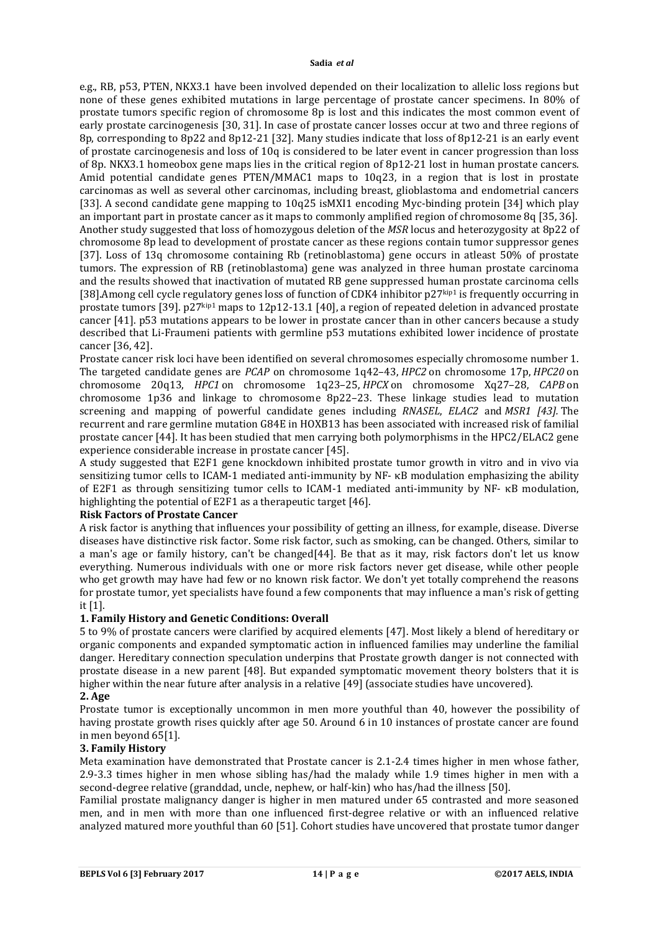e.g., RB, p53, PTEN, NKX3.1 have been involved depended on their localization to allelic loss regions but none of these genes exhibited mutations in large percentage of prostate cancer specimens. In 80% of prostate tumors specific region of chromosome 8p is lost and this indicates the most common event of early prostate carcinogenesis [30, 31]. In case of prostate cancer losses occur at two and three regions of 8p, corresponding to 8p22 and 8p12-21 [32]. Many studies indicate that loss of 8p12-21 is an early event of prostate carcinogenesis and loss of 10q is considered to be later event in cancer progression than loss of 8p. NKX3.1 homeobox gene maps lies in the critical region of 8p12-21 lost in human prostate cancers. Amid potential candidate genes PTEN/MMAC1 maps to 10q23, in a region that is lost in prostate carcinomas as well as several other carcinomas, including breast, glioblastoma and endometrial cancers [33]. A second candidate gene mapping to 10q25 isMXI1 encoding Myc-binding protein [34] which play an important part in prostate cancer as it maps to commonly amplified region of chromosome 8q [35, 36]. Another study suggested that loss of homozygous deletion of the *MSR* locus and heterozygosity at 8p22 of chromosome 8p lead to development of prostate cancer as these regions contain tumor suppressor genes [37]. Loss of 13q chromosome containing Rb (retinoblastoma) gene occurs in atleast 50% of prostate tumors. The expression of RB (retinoblastoma) gene was analyzed in three human prostate carcinoma and the results showed that inactivation of mutated RB gene suppressed human prostate carcinoma cells [38].Among cell cycle regulatory genes loss of function of CDK4 inhibitor p27kip1 is frequently occurring in prostate tumors [39]. p27kip1 maps to 12p12-13.1 [40], a region of repeated deletion in advanced prostate cancer [41]. p53 mutations appears to be lower in prostate cancer than in other cancers because a study described that Li-Fraumeni patients with germline p53 mutations exhibited lower incidence of prostate cancer [36, 42].

Prostate cancer risk loci have been identified on several chromosomes especially chromosome number 1. The targeted candidate genes are *PCAP* on chromosome 1q42–43, *HPC2* on chromosome 17p, *HPC20* on chromosome 20q13, *HPC1* on chromosome 1q23–25, *HPCX* on chromosome Xq27–28, *CAPB* on chromosome 1p36 and linkage to chromosome 8p22–23. These linkage studies lead to mutation screening and mapping of powerful candidate genes including *RNASEL*, *ELAC2* and *MSR1 [43].* The recurrent and rare germline mutation G84E in HOXB13 has been associated with increased risk of familial prostate cancer [44]. It has been studied that men carrying both polymorphisms in the HPC2/ELAC2 gene experience considerable increase in prostate cancer [45].

A study suggested that E2F1 gene knockdown inhibited prostate tumor growth in vitro and in vivo via sensitizing tumor cells to ICAM-1 mediated anti-immunity by NF- κB modulation emphasizing the ability of E2F1 as through sensitizing tumor cells to ICAM-1 mediated anti-immunity by NF- κB modulation, highlighting the potential of E2F1 as a therapeutic target [46].

#### **Risk Factors of Prostate Cancer**

A risk factor is anything that influences your possibility of getting an illness, for example, disease. Diverse diseases have distinctive risk factor. Some risk factor, such as smoking, can be changed. Others, similar to a man's age or family history, can't be changed[44]. Be that as it may, risk factors don't let us know everything. Numerous individuals with one or more risk factors never get disease, while other people who get growth may have had few or no known risk factor. We don't yet totally comprehend the reasons for prostate tumor, yet specialists have found a few components that may influence a man's risk of getting it [1].

#### **1. Family History and Genetic Conditions: Overall**

5 to 9% of prostate cancers were clarified by acquired elements [47]. Most likely a blend of hereditary or organic components and expanded symptomatic action in influenced families may underline the familial danger. Hereditary connection speculation underpins that Prostate growth danger is not connected with prostate disease in a new parent [48]. But expanded symptomatic movement theory bolsters that it is higher within the near future after analysis in a relative [49] (associate studies have uncovered).

#### **2. Age**

Prostate tumor is exceptionally uncommon in men more youthful than 40, however the possibility of having prostate growth rises quickly after age 50. Around 6 in 10 instances of prostate cancer are found in men beyond 65[1].

#### **3. Family History**

Meta examination have demonstrated that Prostate cancer is 2.1-2.4 times higher in men whose father, 2.9-3.3 times higher in men whose sibling has/had the malady while 1.9 times higher in men with a second-degree relative (granddad, uncle, nephew, or half-kin) who has/had the illness [50].

Familial prostate malignancy danger is higher in men matured under 65 contrasted and more seasoned men, and in men with more than one influenced first-degree relative or with an influenced relative analyzed matured more youthful than 60 [51]. Cohort studies have uncovered that prostate tumor danger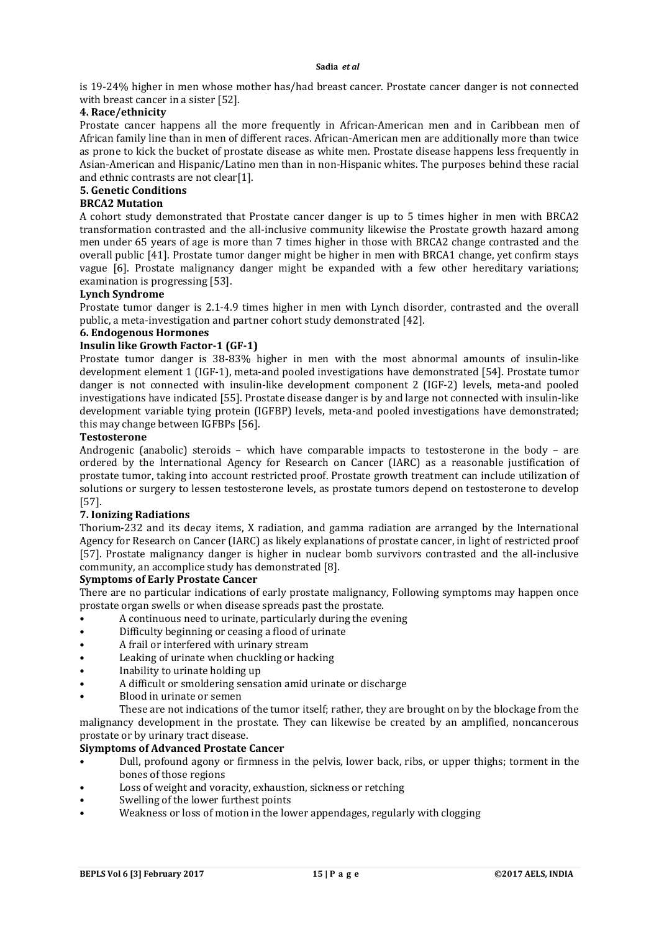is 19-24% higher in men whose mother has/had breast cancer. Prostate cancer danger is not connected with breast cancer in a sister [52].

### **4. Race/ethnicity**

Prostate cancer happens all the more frequently in African-American men and in Caribbean men of African family line than in men of different races. African-American men are additionally more than twice as prone to kick the bucket of prostate disease as white men. Prostate disease happens less frequently in Asian-American and Hispanic/Latino men than in non-Hispanic whites. The purposes behind these racial and ethnic contrasts are not clear[1].

### **5. Genetic Conditions**

#### **BRCA2 Mutation**

A cohort study demonstrated that Prostate cancer danger is up to 5 times higher in men with BRCA2 transformation contrasted and the all-inclusive community likewise the Prostate growth hazard among men under 65 years of age is more than 7 times higher in those with BRCA2 change contrasted and the overall public [41]. Prostate tumor danger might be higher in men with BRCA1 change, yet confirm stays vague [6]. Prostate malignancy danger might be expanded with a few other hereditary variations; examination is progressing [53].

#### **Lynch Syndrome**

Prostate tumor danger is 2.1-4.9 times higher in men with Lynch disorder, contrasted and the overall public, a meta-investigation and partner cohort study demonstrated [42].

## **6. Endogenous Hormones**

## **Insulin like Growth Factor-1 (GF-1)**

Prostate tumor danger is 38-83% higher in men with the most abnormal amounts of insulin-like development element 1 (IGF-1), meta-and pooled investigations have demonstrated [54]. Prostate tumor danger is not connected with insulin-like development component 2 (IGF-2) levels, meta-and pooled investigations have indicated [55]. Prostate disease danger is by and large not connected with insulin-like development variable tying protein (IGFBP) levels, meta-and pooled investigations have demonstrated; this may change between IGFBPs [56].

#### **Testosterone**

Androgenic (anabolic) steroids – which have comparable impacts to testosterone in the body – are ordered by the International Agency for Research on Cancer (IARC) as a reasonable justification of prostate tumor, taking into account restricted proof. Prostate growth treatment can include utilization of solutions or surgery to lessen testosterone levels, as prostate tumors depend on testosterone to develop [57].

#### **7. Ionizing Radiations**

Thorium-232 and its decay items, X radiation, and gamma radiation are arranged by the International Agency for Research on Cancer (IARC) as likely explanations of prostate cancer, in light of restricted proof [57]. Prostate malignancy danger is higher in nuclear bomb survivors contrasted and the all-inclusive community, an accomplice study has demonstrated [8].

#### **Symptoms of Early Prostate Cancer**

There are no particular indications of early prostate malignancy, Following symptoms may happen once prostate organ swells or when disease spreads past the prostate.

- A continuous need to urinate, particularly during the evening
- Difficulty beginning or ceasing a flood of urinate
- A frail or interfered with urinary stream
- Leaking of urinate when chuckling or hacking
- Inability to urinate holding up
- A difficult or smoldering sensation amid urinate or discharge
- Blood in urinate or semen

These are not indications of the tumor itself; rather, they are brought on by the blockage from the malignancy development in the prostate. They can likewise be created by an amplified, noncancerous prostate or by urinary tract disease.

#### **Siymptoms of Advanced Prostate Cancer**

- Dull, profound agony or firmness in the pelvis, lower back, ribs, or upper thighs; torment in the bones of those regions
- Loss of weight and voracity, exhaustion, sickness or retching
- Swelling of the lower furthest points
- Weakness or loss of motion in the lower appendages, regularly with clogging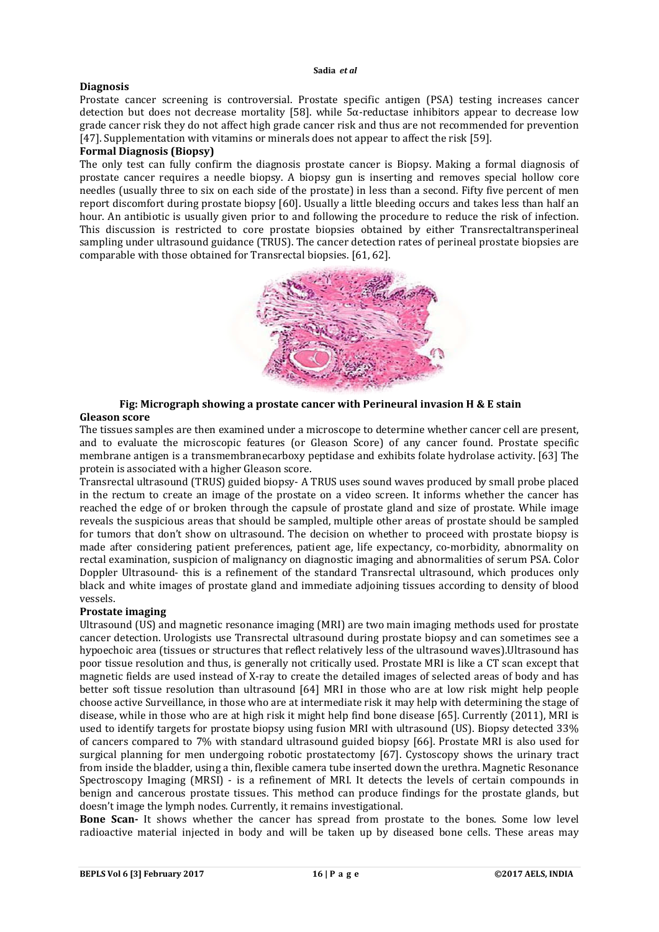### **Diagnosis**

Prostate cancer screening is controversial. Prostate specific antigen (PSA) testing increases cancer detection but does not decrease mortality [58]. while  $5α$ -reductase inhibitors appear to decrease low grade cancer risk they do not affect high grade cancer risk and thus are not recommended for prevention [47]. Supplementation with vitamins or minerals does not appear to affect the risk [59].

### **Formal Diagnosis (Biopsy)**

The only test can fully confirm the diagnosis prostate cancer is Biopsy. Making a formal diagnosis of prostate cancer requires a needle biopsy. A biopsy gun is inserting and removes special hollow core needles (usually three to six on each side of the prostate) in less than a second. Fifty five percent of men report discomfort during prostate biopsy [60]. Usually a little bleeding occurs and takes less than half an hour. An antibiotic is usually given prior to and following the procedure to reduce the risk of infection. This discussion is restricted to core prostate biopsies obtained by either Transrectaltransperineal sampling under ultrasound guidance (TRUS). The cancer detection rates of perineal prostate biopsies are comparable with those obtained for Transrectal biopsies. [61, 62].



#### **Fig: Micrograph showing a prostate cancer with Perineural invasion H & E stain Gleason score**

The tissues samples are then examined under a microscope to determine whether cancer cell are present, and to evaluate the microscopic features (or Gleason Score) of any cancer found. Prostate specific membrane antigen is a transmembranecarboxy peptidase and exhibits folate hydrolase activity. [63] The protein is associated with a higher Gleason score.

Transrectal ultrasound (TRUS) guided biopsy- A TRUS uses sound waves produced by small probe placed in the rectum to create an image of the prostate on a video screen. It informs whether the cancer has reached the edge of or broken through the capsule of prostate gland and size of prostate. While image reveals the suspicious areas that should be sampled, multiple other areas of prostate should be sampled for tumors that don't show on ultrasound. The decision on whether to proceed with prostate biopsy is made after considering patient preferences, patient age, life expectancy, co-morbidity, abnormality on rectal examination, suspicion of malignancy on diagnostic imaging and abnormalities of serum PSA. Color Doppler Ultrasound- this is a refinement of the standard Transrectal ultrasound, which produces only black and white images of prostate gland and immediate adjoining tissues according to density of blood vessels.

## **Prostate imaging**

Ultrasound (US) and magnetic resonance imaging (MRI) are two main imaging methods used for prostate cancer detection. Urologists use Transrectal ultrasound during prostate biopsy and can sometimes see a hypoechoic area (tissues or structures that reflect relatively less of the ultrasound waves).Ultrasound has poor tissue resolution and thus, is generally not critically used. Prostate MRI is like a CT scan except that magnetic fields are used instead of X-ray to create the detailed images of selected areas of body and has better soft tissue resolution than ultrasound [64] MRI in those who are at low risk might help people choose active Surveillance, in those who are at intermediate risk it may help with determining the stage of disease, while in those who are at high risk it might help find bone disease [65]. Currently (2011), MRI is used to identify targets for prostate biopsy using fusion MRI with ultrasound (US). Biopsy detected 33% of cancers compared to 7% with standard ultrasound guided biopsy [66]. Prostate MRI is also used for surgical planning for men undergoing robotic prostatectomy [67]. Cystoscopy shows the urinary tract from inside the bladder, using a thin, flexible camera tube inserted down the urethra. Magnetic Resonance Spectroscopy Imaging (MRSI) - is a refinement of MRI. It detects the levels of certain compounds in benign and cancerous prostate tissues. This method can produce findings for the prostate glands, but doesn't image the lymph nodes. Currently, it remains investigational.

**Bone Scan-** It shows whether the cancer has spread from prostate to the bones. Some low level radioactive material injected in body and will be taken up by diseased bone cells. These areas may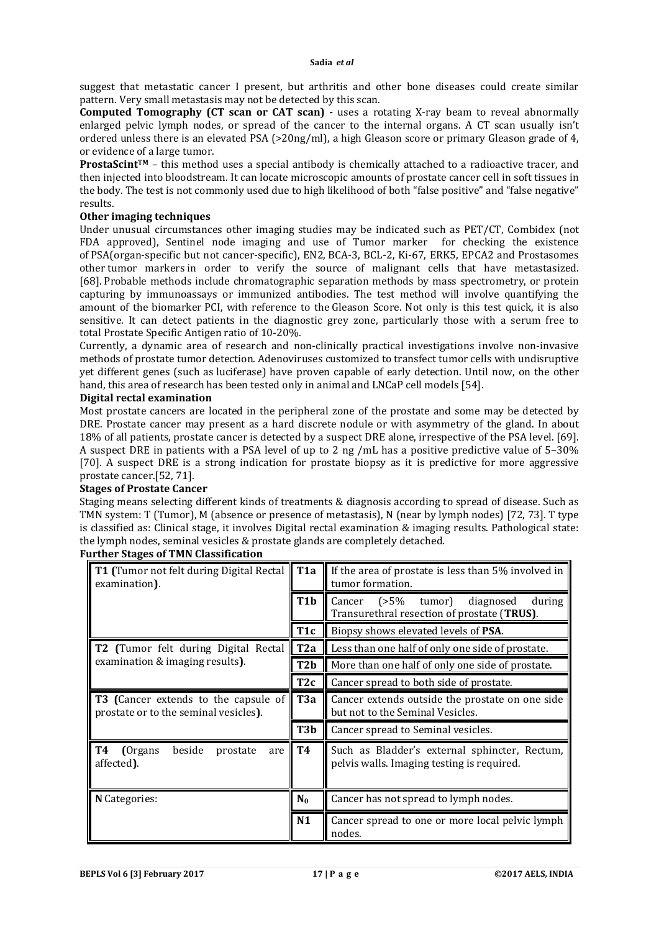suggest that metastatic cancer I present, but arthritis and other bone diseases could create similar pattern. Very small metastasis may not be detected by this scan.

**Computed Tomography (CT scan or CAT scan) -** uses a rotating X-ray beam to reveal abnormally enlarged pelvic lymph nodes, or spread of the cancer to the internal organs. A CT scan usually isn't ordered unless there is an elevated PSA (>20ng/ml), a high Gleason score or primary Gleason grade of 4, or evidence of a large tumor.

**ProstaScint<sup>TM</sup>** – this method uses a special antibody is chemically attached to a radioactive tracer, and then injected into bloodstream. It can locate microscopic amounts of prostate cancer cell in soft tissues in the body. The test is not commonly used due to high likelihood of both "false positive" and "false negative" results.

#### **Other imaging techniques**

Under unusual circumstances other imaging studies may be indicated such as PET/CT, Combidex (not FDA approved), Sentinel node imaging and use of Tumor marker for checking the existence of PSA(organ-specific but not cancer-specific), EN2, BCA-3, BCL-2, Ki-67, ERK5, EPCA2 and Prostasomes other tumor markers in order to verify the source of malignant cells that have metastasized. [68]. Probable methods include chromatographic separation methods by mass spectrometry, or protein capturing by immunoassays or immunized antibodies. The test method will involve quantifying the amount of the biomarker PCI, with reference to the Gleason Score. Not only is this test quick, it is also sensitive. It can detect patients in the diagnostic grey zone, particularly those with a serum free to total Prostate Specific Antigen ratio of 10-20%.

Currently, a dynamic area of research and non-clinically practical investigations involve non-invasive methods of prostate tumor detection. Adenoviruses customized to transfect tumor cells with undisruptive yet different genes (such as luciferase) have proven capable of early detection. Until now, on the other hand, this area of research has been tested only in animal and LNCaP cell models [54].

#### **Digital rectal examination**

Most prostate cancers are located in the peripheral zone of the prostate and some may be detected by DRE. Prostate cancer may present as a hard discrete nodule or with asymmetry of the gland. In about 18% of all patients, prostate cancer is detected by a suspect DRE alone, irrespective of the PSA level. [69]. A suspect DRE in patients with a PSA level of up to 2 ng /mL has a positive predictive value of 5–30% [70]. A suspect DRE is a strong indication for prostate biopsy as it is predictive for more aggressive prostate cancer.[52, 71].

#### **Stages of Prostate Cancer**

Staging means selecting different kinds of treatments & diagnosis according to spread of disease. Such as TMN system: T (Tumor), M (absence or presence of metastasis), N (near by lymph nodes) [72, 73]. T type is classified as: Clinical stage, it involves Digital rectal examination & imaging results. Pathological state: the lymph nodes, seminal vesicles & prostate glands are completely detached.

## **Further Stages of TMN Classification**

| <b>T1 (Tumor not felt during Digital Rectal T1a)</b><br>examination).             |                      | If the area of prostate is less than 5% involved in<br>tumor formation.                        |
|-----------------------------------------------------------------------------------|----------------------|------------------------------------------------------------------------------------------------|
|                                                                                   | T1b                  | Cancer $(>5\%$<br>tumor)<br>diagnosed<br>during<br>Transurethral resection of prostate (TRUS). |
|                                                                                   | T <sub>1</sub> c     | Biopsy shows elevated levels of PSA.                                                           |
| T2 (Tumor felt during Digital Rectal<br>examination & imaging results).           | T <sub>2</sub> a     | Less than one half of only one side of prostate.                                               |
|                                                                                   | T <sub>2</sub> b     | More than one half of only one side of prostate.                                               |
|                                                                                   | T <sub>2</sub> c     | Cancer spread to both side of prostate.                                                        |
| T3 (Cancer extends to the capsule of T3a<br>prostate or to the seminal vesicles). |                      | Cancer extends outside the prostate on one side<br>but not to the Seminal Vesicles.            |
|                                                                                   | T3b                  | Cancer spread to Seminal vesicles.                                                             |
| T4<br>beside<br>(Organs<br>prostate<br>affected).                                 | are $\vert \vert$ T4 | Such as Bladder's external sphincter, Rectum,<br>pelvis walls. Imaging testing is required.    |
| N Categories:                                                                     | $N_0$                | Cancer has not spread to lymph nodes.                                                          |
|                                                                                   | N1                   | Cancer spread to one or more local pelvic lymph<br>nodes.                                      |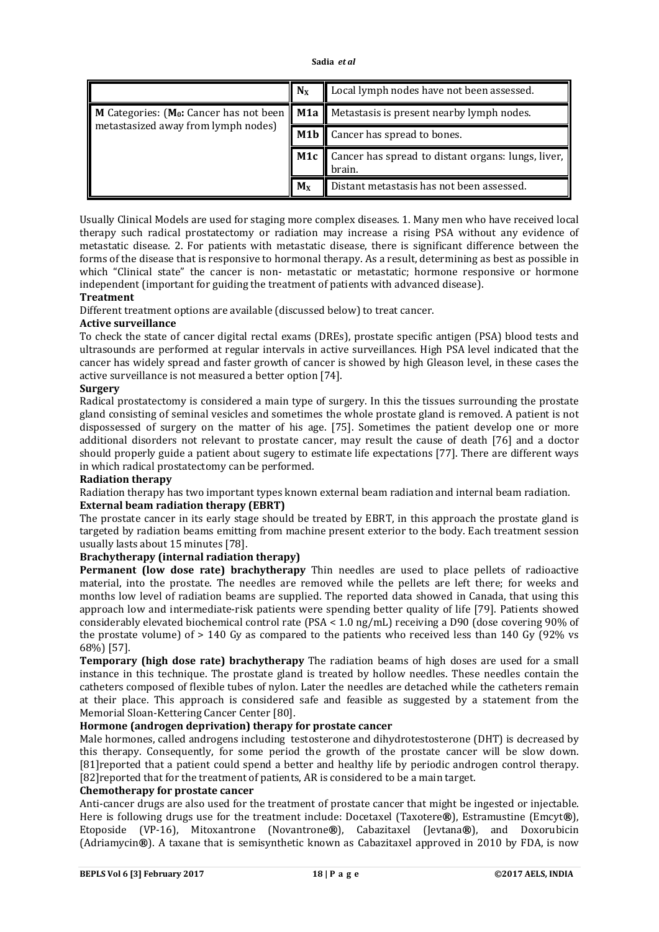|                                     | $N_{X}$ | Local lymph nodes have not been assessed.                                                               |
|-------------------------------------|---------|---------------------------------------------------------------------------------------------------------|
| metastasized away from lymph nodes) |         | M Categories: (M <sub>0</sub> : Cancer has not been    M1a    Metastasis is present nearby lymph nodes. |
|                                     |         | M1b   Cancer has spread to bones.                                                                       |
|                                     | M1c     | Cancer has spread to distant organs: lungs, liver,<br>brain.                                            |
|                                     | $M_X$   | Distant metastasis has not been assessed.                                                               |

Usually Clinical Models are used for staging more complex diseases. 1. Many men who have received local therapy such radical prostatectomy or radiation may increase a rising PSA without any evidence of metastatic disease. 2. For patients with metastatic disease, there is significant difference between the forms of the disease that is responsive to hormonal therapy. As a result, determining as best as possible in which "Clinical state" the cancer is non- metastatic or metastatic; hormone responsive or hormone independent (important for guiding the treatment of patients with advanced disease).

## **Treatment**

Different treatment options are available (discussed below) to treat cancer.

### **Active surveillance**

To check the state of cancer digital rectal exams (DREs), prostate specific antigen (PSA) blood tests and ultrasounds are performed at regular intervals in active surveillances. High PSA level indicated that the cancer has widely spread and faster growth of cancer is showed by high Gleason level, in these cases the active surveillance is not measured a better option [74].

### **Surgery**

Radical prostatectomy is considered a main type of surgery. In this the tissues surrounding the prostate gland consisting of seminal vesicles and sometimes the whole prostate gland is removed. A patient is not dispossessed of surgery on the matter of his age. [75]. Sometimes the patient develop one or more additional disorders not relevant to prostate cancer, may result the cause of death [76] and a doctor should properly guide a patient about sugery to estimate life expectations [77]. There are different ways in which radical prostatectomy can be performed.

## **Radiation therapy**

Radiation therapy has two important types known external beam radiation and internal beam radiation. **External beam radiation therapy (EBRT)**

The prostate cancer in its early stage should be treated by EBRT, in this approach the prostate gland is targeted by radiation beams emitting from machine present exterior to the body. Each treatment session usually lasts about 15 minutes [78].

## **Brachytherapy (internal radiation therapy)**

**Permanent (low dose rate) brachytherapy** Thin needles are used to place pellets of radioactive material, into the prostate. The needles are removed while the pellets are left there; for weeks and months low level of radiation beams are supplied. The reported data showed in Canada, that using this approach low and intermediate-risk patients were spending better quality of life [79]. Patients showed considerably elevated biochemical control rate (PSA < 1.0 ng/mL) receiving a D90 (dose covering 90% of the prostate volume) of > 140 Gy as compared to the patients who received less than 140 Gy (92% vs 68%) [57].

**Temporary (high dose rate) brachytherapy** The radiation beams of high doses are used for a small instance in this technique. The prostate gland is treated by hollow needles. These needles contain the catheters composed of flexible tubes of nylon. Later the needles are detached while the catheters remain at their place. This approach is considered safe and feasible as suggested by a statement from the Memorial Sloan-Kettering Cancer Center [80].

## **Hormone (androgen deprivation) therapy for prostate cancer**

Male hormones, called androgens including testosterone and dihydrotestosterone (DHT) is decreased by this therapy. Consequently, for some period the growth of the prostate cancer will be slow down. [81]reported that a patient could spend a better and healthy life by periodic androgen control therapy. [82]reported that for the treatment of patients, AR is considered to be a main target.

## **Chemotherapy for prostate cancer**

Anti-cancer drugs are also used for the treatment of prostate cancer that might be ingested or injectable. Here is following drugs use for the treatment include: Docetaxel (Taxotere**®**), Estramustine (Emcyt**®**), Etoposide (VP-16), Mitoxantrone (Novantrone**®**), Cabazitaxel (Jevtana**®**), and Doxorubicin (Adriamycin**®**). A taxane that is semisynthetic known as Cabazitaxel approved in 2010 by FDA, is now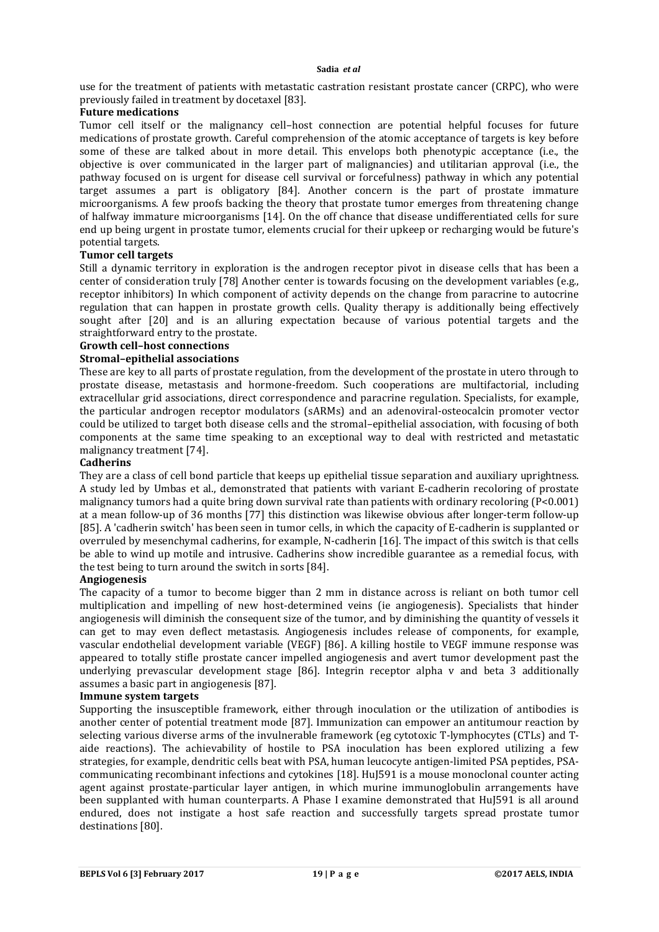use for the treatment of patients with metastatic castration resistant prostate cancer (CRPC), who were previously failed in treatment by docetaxel [83].

#### **Future medications**

Tumor cell itself or the malignancy cell–host connection are potential helpful focuses for future medications of prostate growth. Careful comprehension of the atomic acceptance of targets is key before some of these are talked about in more detail. This envelops both phenotypic acceptance (i.e., the objective is over communicated in the larger part of malignancies) and utilitarian approval (i.e., the pathway focused on is urgent for disease cell survival or forcefulness) pathway in which any potential target assumes a part is obligatory [84]. Another concern is the part of prostate immature microorganisms. A few proofs backing the theory that prostate tumor emerges from threatening change of halfway immature microorganisms [14]. On the off chance that disease undifferentiated cells for sure end up being urgent in prostate tumor, elements crucial for their upkeep or recharging would be future's potential targets.

#### **Tumor cell targets**

Still a dynamic territory in exploration is the androgen receptor pivot in disease cells that has been a center of consideration truly [78] Another center is towards focusing on the development variables (e.g., receptor inhibitors) In which component of activity depends on the change from paracrine to autocrine regulation that can happen in prostate growth cells. Quality therapy is additionally being effectively sought after [20] and is an alluring expectation because of various potential targets and the straightforward entry to the prostate.

#### **Growth cell–host connections**

#### **Stromal–epithelial associations**

These are key to all parts of prostate regulation, from the development of the prostate in utero through to prostate disease, metastasis and hormone-freedom. Such cooperations are multifactorial, including extracellular grid associations, direct correspondence and paracrine regulation. Specialists, for example, the particular androgen receptor modulators (sARMs) and an adenoviral-osteocalcin promoter vector could be utilized to target both disease cells and the stromal–epithelial association, with focusing of both components at the same time speaking to an exceptional way to deal with restricted and metastatic malignancy treatment [74].

#### **Cadherins**

They are a class of cell bond particle that keeps up epithelial tissue separation and auxiliary uprightness. A study led by Umbas et al., demonstrated that patients with variant E-cadherin recoloring of prostate malignancy tumors had a quite bring down survival rate than patients with ordinary recoloring (P<0.001) at a mean follow-up of 36 months [77] this distinction was likewise obvious after longer-term follow-up [85]. A 'cadherin switch' has been seen in tumor cells, in which the capacity of E-cadherin is supplanted or overruled by mesenchymal cadherins, for example, N-cadherin [16]. The impact of this switch is that cells be able to wind up motile and intrusive. Cadherins show incredible guarantee as a remedial focus, with the test being to turn around the switch in sorts [84].

#### **Angiogenesis**

The capacity of a tumor to become bigger than 2 mm in distance across is reliant on both tumor cell multiplication and impelling of new host-determined veins (ie angiogenesis). Specialists that hinder angiogenesis will diminish the consequent size of the tumor, and by diminishing the quantity of vessels it can get to may even deflect metastasis. Angiogenesis includes release of components, for example, vascular endothelial development variable (VEGF) [86]. A killing hostile to VEGF immune response was appeared to totally stifle prostate cancer impelled angiogenesis and avert tumor development past the underlying prevascular development stage [86]. Integrin receptor alpha v and beta 3 additionally assumes a basic part in angiogenesis [87].

#### **Immune system targets**

Supporting the insusceptible framework, either through inoculation or the utilization of antibodies is another center of potential treatment mode [87]. Immunization can empower an antitumour reaction by selecting various diverse arms of the invulnerable framework (eg cytotoxic T-lymphocytes (CTLs) and Taide reactions). The achievability of hostile to PSA inoculation has been explored utilizing a few strategies, for example, dendritic cells beat with PSA, human leucocyte antigen-limited PSA peptides, PSAcommunicating recombinant infections and cytokines [18]. HuJ591 is a mouse monoclonal counter acting agent against prostate-particular layer antigen, in which murine immunoglobulin arrangements have been supplanted with human counterparts. A Phase I examine demonstrated that HuJ591 is all around endured, does not instigate a host safe reaction and successfully targets spread prostate tumor destinations [80].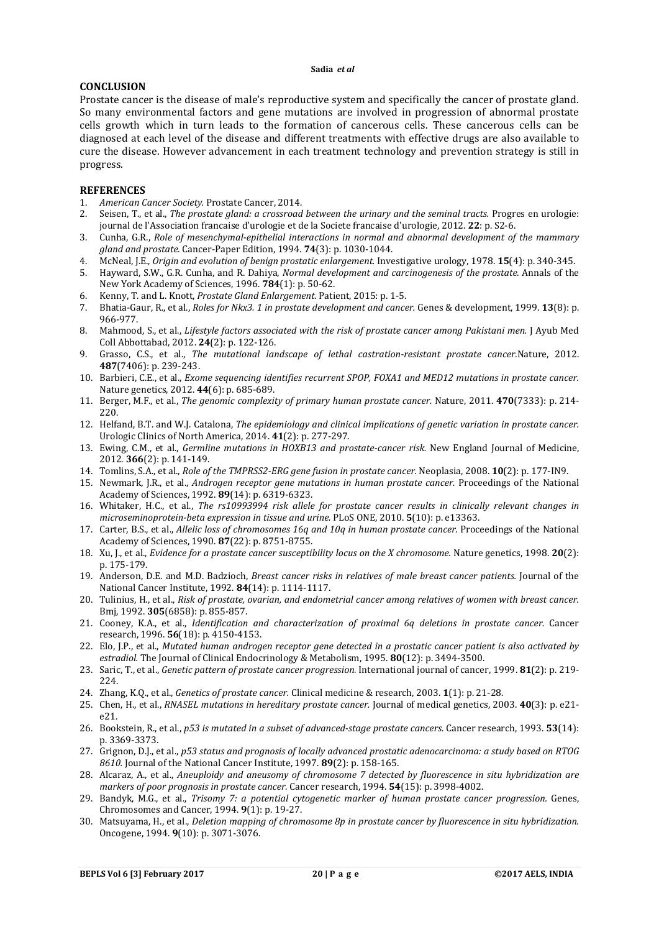#### **CONCLUSION**

Prostate cancer is the disease of male's reproductive system and specifically the cancer of prostate gland. So many environmental factors and gene mutations are involved in progression of abnormal prostate cells growth which in turn leads to the formation of cancerous cells. These cancerous cells can be diagnosed at each level of the disease and different treatments with effective drugs are also available to cure the disease. However advancement in each treatment technology and prevention strategy is still in progress.

### **REFERENCES**

- 1. *American Cancer Society.* Prostate Cancer, 2014.
- 2. Seisen, T., et al., *The prostate gland: a crossroad between the urinary and the seminal tracts.* Progres en urologie: journal de l'Association francaise d'urologie et de la Societe francaise d'urologie, 2012. **22**: p. S2-6.
- 3. Cunha, G.R., *Role of mesenchymal-epithelial interactions in normal and abnormal development of the mammary gland and prostate.* Cancer-Paper Edition, 1994. **74**(3): p. 1030-1044.
- 4. McNeal, J.E., *Origin and evolution of benign prostatic enlargement.* Investigative urology, 1978. **15**(4): p. 340-345.
- 5. Hayward, S.W., G.R. Cunha, and R. Dahiya, *Normal development and carcinogenesis of the prostate.* Annals of the New York Academy of Sciences, 1996. **784**(1): p. 50-62.
- 6. Kenny, T. and L. Knott, *Prostate Gland Enlargement.* Patient, 2015: p. 1-5.
- 7. Bhatia-Gaur, R., et al., *Roles for Nkx3. 1 in prostate development and cancer.* Genes & development, 1999. **13**(8): p. 966-977.
- 8. Mahmood, S., et al., *Lifestyle factors associated with the risk of prostate cancer among Pakistani men.* J Ayub Med Coll Abbottabad, 2012. **24**(2): p. 122-126.
- 9. Grasso, C.S., et al., *The mutational landscape of lethal castration-resistant prostate cancer.*Nature, 2012. **487**(7406): p. 239-243.
- 10. Barbieri, C.E., et al., *Exome sequencing identifies recurrent SPOP, FOXA1 and MED12 mutations in prostate cancer.* Nature genetics, 2012. **44**(6): p. 685-689.
- 11. Berger, M.F., et al., *The genomic complexity of primary human prostate cancer.* Nature, 2011. **470**(7333): p. 214- 220.
- 12. Helfand, B.T. and W.J. Catalona, *The epidemiology and clinical implications of genetic variation in prostate cancer.* Urologic Clinics of North America, 2014. **41**(2): p. 277-297.
- 13. Ewing, C.M., et al., *Germline mutations in HOXB13 and prostate-cancer risk.* New England Journal of Medicine, 2012. **366**(2): p. 141-149.
- 14. Tomlins, S.A., et al., *Role of the TMPRSS2-ERG gene fusion in prostate cancer.* Neoplasia, 2008. **10**(2): p. 177-IN9.
- 15. Newmark, J.R., et al., *Androgen receptor gene mutations in human prostate cancer.* Proceedings of the National Academy of Sciences, 1992. **89**(14): p. 6319-6323.
- 16. Whitaker, H.C., et al., *The rs10993994 risk allele for prostate cancer results in clinically relevant changes in microseminoprotein-beta expression in tissue and urine.* PLoS ONE, 2010. **5**(10): p. e13363.
- 17. Carter, B.S., et al., *Allelic loss of chromosomes 16q and 10q in human prostate cancer.* Proceedings of the National Academy of Sciences, 1990. **87**(22): p. 8751-8755.
- 18. Xu, J., et al., *Evidence for a prostate cancer susceptibility locus on the X chromosome.* Nature genetics, 1998. **20**(2): p. 175-179.
- 19. Anderson, D.E. and M.D. Badzioch, *Breast cancer risks in relatives of male breast cancer patients.* Journal of the National Cancer Institute, 1992. **84**(14): p. 1114-1117.
- 20. Tulinius, H., et al., *Risk of prostate, ovarian, and endometrial cancer among relatives of women with breast cancer.* Bmj, 1992. **305**(6858): p. 855-857.
- 21. Cooney, K.A., et al., *Identification and characterization of proximal 6q deletions in prostate cancer.* Cancer research, 1996. **56**(18): p. 4150-4153.
- 22. Elo, J.P., et al., *Mutated human androgen receptor gene detected in a prostatic cancer patient is also activated by estradiol.* The Journal of Clinical Endocrinology & Metabolism, 1995. **80**(12): p. 3494-3500.
- 23. Saric, T., et al., *Genetic pattern of prostate cancer progression.* International journal of cancer, 1999. **81**(2): p. 219- 224.
- 24. Zhang, K.Q., et al., *Genetics of prostate cancer.* Clinical medicine & research, 2003. **1**(1): p. 21-28.
- 25. Chen, H., et al., *RNASEL mutations in hereditary prostate cancer.* Journal of medical genetics, 2003. **40**(3): p. e21 e21.
- 26. Bookstein, R., et al., *p53 is mutated in a subset of advanced-stage prostate cancers.* Cancer research, 1993. **53**(14): p. 3369-3373.
- 27. Grignon, D.J., et al., *p53 status and prognosis of locally advanced prostatic adenocarcinoma: a study based on RTOG 8610.* Journal of the National Cancer Institute, 1997. **89**(2): p. 158-165.
- 28. Alcaraz, A., et al., *Aneuploidy and aneusomy of chromosome 7 detected by fluorescence in situ hybridization are markers of poor prognosis in prostate cancer.* Cancer research, 1994. **54**(15): p. 3998-4002.
- 29. Bandyk, M.G., et al., *Trisomy 7: a potential cytogenetic marker of human prostate cancer progression.* Genes, Chromosomes and Cancer, 1994. **9**(1): p. 19-27.
- 30. Matsuyama, H., et al., *Deletion mapping of chromosome 8p in prostate cancer by fluorescence in situ hybridization.* Oncogene, 1994. **9**(10): p. 3071-3076.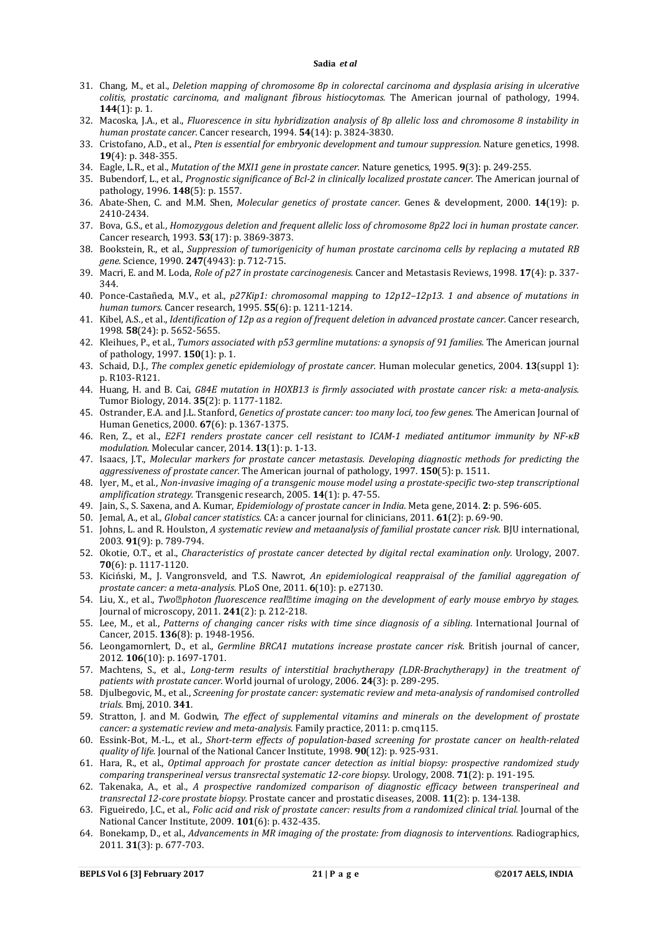- 31. Chang, M., et al., *Deletion mapping of chromosome 8p in colorectal carcinoma and dysplasia arising in ulcerative colitis, prostatic carcinoma, and malignant fibrous histiocytomas.* The American journal of pathology, 1994. **144**(1): p. 1.
- 32. Macoska, J.A., et al., *Fluorescence in situ hybridization analysis of 8p allelic loss and chromosome 8 instability in human prostate cancer.* Cancer research, 1994. **54**(14): p. 3824-3830.
- 33. Cristofano, A.D., et al., *Pten is essential for embryonic development and tumour suppression.* Nature genetics, 1998. **19**(4): p. 348-355.
- 34. Eagle, L.R., et al., *Mutation of the MXI1 gene in prostate cancer.* Nature genetics, 1995. **9**(3): p. 249-255.
- 35. Bubendorf, L., et al., *Prognostic significance of Bcl-2 in clinically localized prostate cancer.* The American journal of pathology, 1996. **148**(5): p. 1557.
- 36. Abate-Shen, C. and M.M. Shen, *Molecular genetics of prostate cancer.* Genes & development, 2000. **14**(19): p. 2410-2434.
- 37. Bova, G.S., et al., *Homozygous deletion and frequent allelic loss of chromosome 8p22 loci in human prostate cancer.* Cancer research, 1993. **53**(17): p. 3869-3873.
- 38. Bookstein, R., et al., *Suppression of tumorigenicity of human prostate carcinoma cells by replacing a mutated RB gene.* Science, 1990. **247**(4943): p. 712-715.
- 39. Macri, E. and M. Loda, *Role of p27 in prostate carcinogenesis.* Cancer and Metastasis Reviews, 1998. **17**(4): p. 337- 344.
- 40. Ponce-Castañeda, M.V., et al., *p27Kip1: chromosomal mapping to 12p12–12p13. 1 and absence of mutations in human tumors.* Cancer research, 1995. **55**(6): p. 1211-1214.
- 41. Kibel, A.S., et al., *Identification of 12p as a region of frequent deletion in advanced prostate cancer.* Cancer research, 1998. **58**(24): p. 5652-5655.
- 42. Kleihues, P., et al., *Tumors associated with p53 germline mutations: a synopsis of 91 families.* The American journal of pathology, 1997. **150**(1): p. 1.
- 43. Schaid, D.J., *The complex genetic epidemiology of prostate cancer.* Human molecular genetics, 2004. **13**(suppl 1): p. R103-R121.
- 44. Huang, H. and B. Cai, *G84E mutation in HOXB13 is firmly associated with prostate cancer risk: a meta-analysis.* Tumor Biology, 2014. **35**(2): p. 1177-1182.
- 45. Ostrander, E.A. and J.L. Stanford, *Genetics of prostate cancer: too many loci, too few genes.* The American Journal of Human Genetics, 2000. **67**(6): p. 1367-1375.
- 46. Ren, Z., et al., *E2F1 renders prostate cancer cell resistant to ICAM-1 mediated antitumor immunity by NF-κB modulation.* Molecular cancer, 2014. **13**(1): p. 1-13.
- 47. Isaacs, J.T., *Molecular markers for prostate cancer metastasis. Developing diagnostic methods for predicting the aggressiveness of prostate cancer.* The American journal of pathology, 1997. **150**(5): p. 1511.
- 48. Iyer, M., et al., *Non-invasive imaging of a transgenic mouse model using a prostate-specific two-step transcriptional amplification strategy.* Transgenic research, 2005. **14**(1): p. 47-55.
- 49. Jain, S., S. Saxena, and A. Kumar, *Epidemiology of prostate cancer in India.* Meta gene, 2014. **2**: p. 596-605.
- 50. Jemal, A., et al., *Global cancer statistics.* CA: a cancer journal for clinicians, 2011. **61**(2): p. 69-90.
- 51. Johns, L. and R. Houlston, *A systematic review and metaanalysis of familial prostate cancer risk.* BJU international, 2003. **91**(9): p. 789-794.
- 52. Okotie, O.T., et al., *Characteristics of prostate cancer detected by digital rectal examination only.* Urology, 2007. **70**(6): p. 1117-1120.
- 53. Kiciński, M., J. Vangronsveld, and T.S. Nawrot, *An epidemiological reappraisal of the familial aggregation of prostate cancer: a meta-analysis.* PLoS One, 2011. **6**(10): p. e27130.
- 54. Liu, X., et al., *Twophoton fluorescence realtime imaging on the development of early mouse embryo by stages.* Journal of microscopy, 2011. **241**(2): p. 212-218.
- 55. Lee, M., et al., *Patterns of changing cancer risks with time since diagnosis of a sibling.* International Journal of Cancer, 2015. **136**(8): p. 1948-1956.
- 56. Leongamornlert, D., et al., *Germline BRCA1 mutations increase prostate cancer risk.* British journal of cancer, 2012. **106**(10): p. 1697-1701.
- 57. Machtens, S., et al., *Long-term results of interstitial brachytherapy (LDR-Brachytherapy) in the treatment of patients with prostate cancer.* World journal of urology, 2006. **24**(3): p. 289-295.
- 58. Djulbegovic, M., et al., *Screening for prostate cancer: systematic review and meta-analysis of randomised controlled trials.* Bmj, 2010. **341**.
- 59. Stratton, J. and M. Godwin, *The effect of supplemental vitamins and minerals on the development of prostate cancer: a systematic review and meta-analysis.* Family practice, 2011: p. cmq115.
- 60. Essink-Bot, M.-L., et al., *Short-term effects of population-based screening for prostate cancer on health-related quality of life.* Journal of the National Cancer Institute, 1998. **90**(12): p. 925-931.
- 61. Hara, R., et al., *Optimal approach for prostate cancer detection as initial biopsy: prospective randomized study comparing transperineal versus transrectal systematic 12-core biopsy.* Urology, 2008. **71**(2): p. 191-195.
- 62. Takenaka, A., et al., *A prospective randomized comparison of diagnostic efficacy between transperineal and transrectal 12-core prostate biopsy.* Prostate cancer and prostatic diseases, 2008. **11**(2): p. 134-138.
- 63. Figueiredo, J.C., et al., *Folic acid and risk of prostate cancer: results from a randomized clinical trial.* Journal of the National Cancer Institute, 2009. **101**(6): p. 432-435.
- 64. Bonekamp, D., et al., *Advancements in MR imaging of the prostate: from diagnosis to interventions.* Radiographics, 2011. **31**(3): p. 677-703.